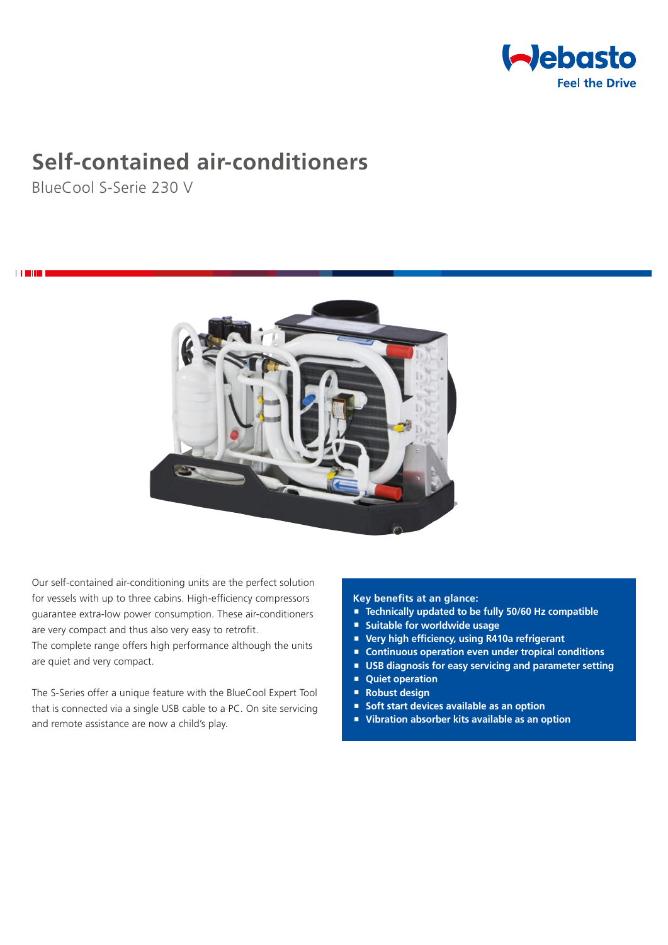

# **Self-contained air-conditioners**

BlueCool S-Serie 230 V

i **Title** 



Our self-contained air-conditioning units are the perfect solution for vessels with up to three cabins. High-efficiency compressors guarantee extra-low power consumption. These air-conditioners are very compact and thus also very easy to retrofit. The complete range offers high performance although the units are quiet and very compact.

The S-Series offer a unique feature with the BlueCool Expert Tool that is connected via a single USB cable to a PC. On site servicing and remote assistance are now a child's play.

## **Key benefits at an glance:**

- **Technically updated to be fully 50/60 Hz compatible**
- **Suitable for worldwide usage**
- **Very high efficiency, using R410a refrigerant**
- Continuous operation even under tropical conditions
- **USB diagnosis for easy servicing and parameter setting**
- **Quiet operation**
- **Robust design**
- Soft start devices available as an option
- **Vibration absorber kits available as an option**